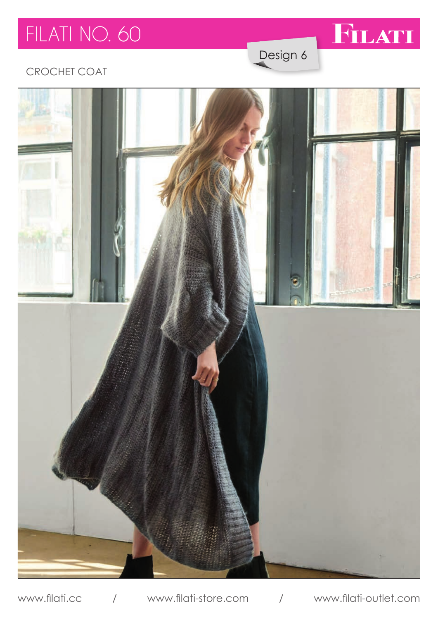# FILATI NO. 60



Design 6

### **CROCHET COAT**



www.filati-outlet.com www.filati.cc  $\overline{1}$ www.filati-store.com  $\sqrt{2}$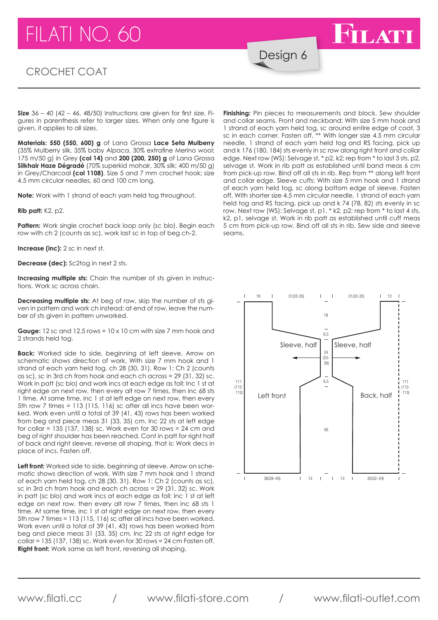## $FII$  ATI NO. 60

#### CROCHET COAT

Design 6

**Size** 36 – 40 (42 – 46, 48/50) Instructions are given for first size. Figures in parenthesis refer to larger sizes. When only one figure is given, it applies to all sizes.

**Materials: 550 (550, 600) g** of Lana Grossa **Lace Seta Mulberry**  (35% Mulberry silk, 35% baby Alpaca, 30% extrafine Merino wool; 175 m/50 g) in Grey **(col 14)** and **200 (200, 250) g** of Lana Grossa **Silkhair Haze Dégradé** (70% superkid mohair, 30% silk; 400 m/50 g) in Grey/Charcoal **(col 1108)**. Size 5 and 7 mm crochet hook; size 4.5 mm circular needles, 60 and 100 cm long.

**Note:** Work with 1 strand of each yarn held tog throughout.

**Rib patt:** K2, p2.

**Pattern:** Work single crochet back loop only (sc blo). Begin each row with ch 2 (counts as sc), work last sc in top of beg ch-2.

**Increase (inc):** 2 sc in next st.

**Decrease (dec):** Sc2tog in next 2 sts.

**Increasing multiple sts:** Chain the number of sts given in instructions. Work sc across chain.

**Decreasing multiple sts:** At beg of row, skip the number of sts given in pattern and work ch instead; at end of row, leave the number of sts given in pattern unworked.

**Gauge:** 12 sc and 12.5 rows = 10 x 10 cm with size 7 mm hook and 2 strands held tog.

**Back:** Worked side to side, beginning at left sleeve. Arrow on schematic shows direction of work. With size 7 mm hook and 1 strand of each yarn held tog, ch 28 (30, 31). Row 1: Ch 2 (counts as sc), sc in 3rd ch from hook and each ch across = 29 (31, 32) sc. Work in patt (sc blo) and work incs at each edge as foll: Inc 1 st at right edge on next row, then every alt row 7 times, then inc 68 sts 1 time. At same time, inc 1 st at left edge on next row, then every 5th row 7 times = 113 (115, 116) sc after all incs have been worentiled work even until a total of 39 (41, 43) rows has been worked from beg and piece meas 31 (33, 35) cm. Inc 22 sts at left edge for collar = 135 (137, 138) sc. Work even for 30 rows = 24 cm and beg of right shoulder has been reached. Cont in patt for right half of back and right sleeve, reverse all shaping, that is: Work decs in place of incs. Fasten off.

Left front: Worked side to side, beginning at sleeve. Arrow on schematic shows direction of work. With size 7 mm hook and 1 strand of each yarn held tog, ch 28 (30, 31). Row 1: Ch 2 (counts as sc), sc in 3rd ch from hook and each ch across = 29 (31, 32) sc. Work in patt (sc blo) and work incs at each edge as foll: Inc 1 st at left edge on next row, then every alt row 7 times, then inc 68 sts 1 time. At same time, inc 1 st at right edge on next row, then every 5th row 7 times = 113 (115, 116) sc after all incs have been worked. Work even until a total of 39 (41, 43) rows has been worked from beg and piece meas 31 (33, 35) cm. Inc 22 sts at right edge for collar = 135 (137, 138) sc. Work even for 30 rows = 24 cm Fasten off. **Right front:** Work same as left front, reversing all shaping.

**Finishing:** Pin pieces to measurements and block. Sew shoulder and collar seams. Front and neckband: With size 5 mm hook and 1 strand of each yarn held tog, sc around entire edge of coat, 3 sc in each corner. Fasten off. \*\* With longer size 4.5 mm circular needle, 1 strand of each yarn held tog and RS facing, pick up and k 176 (180, 184) sts evenly in sc row along right front and collar edge. Next row (WS): Selvage st, \* p2, k2; rep from \* to last 3 sts, p2, selvage st. Work in rib patt as established until band meas 6 cm from pick-up row. Bind off all sts in rib. Rep from \*\* along left front and collar edge. Sleeve cuffs: With size 5 mm hook and 1 strand of each yarn held tog, sc along bottom edge of sleeve. Fasten off. With shorter size 4.5 mm circular needle, 1 strand of each yarn held tog and RS facing, pick up and k 74 (78, 82) sts evenly in sc row. Next row (WS): Selvage st, p1, \* k2, p2; rep from \* to last 4 sts, k2, p1, selvage st. Work in rib patt as established until cuff meas 5 cm from pick-up row. Bind off all sts in rib. Sew side and sleeve seams.

**FILATI** 



www.filati.cc / www.filati-store.com / www.filati-outlet.com